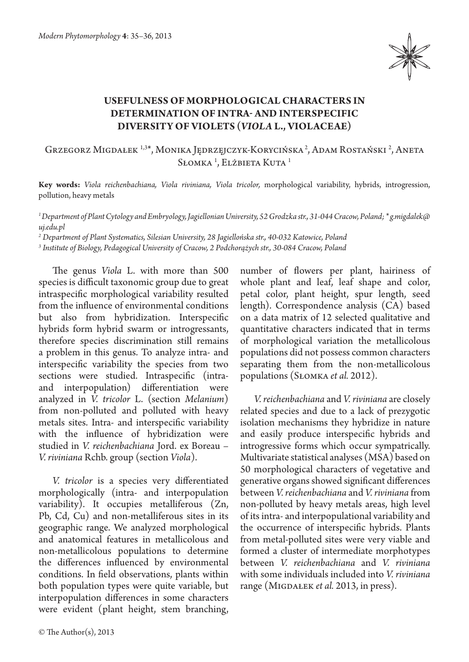

## **Usefulness of morphological characters in determination of intra- and interspecific diversity of violets (***Viola* **L., Violaceae)**

Grzegorz Migdałek 1,3\*, Monika Jędrzęjczyk-Korycińska 2, Adam Rostański 2 , Aneta Słomka <sup>1</sup>, Elżbieta Kuta <sup>1</sup>

**Key words:** *Viola reichenbachiana, Viola riviniana, Viola tricolor,* morphological variability, hybrids, introgression, pollution, heavy metals

*1 Department of Plant Cytology and Embryology, Jagiellonian University, 52 Grodzka str., 31-044 Cracow, Poland; \* g.migdalek@ uj.edu.pl*

*2 Department of Plant Systematics, Silesian University, 28 Jagiellońska str., 40-032 Katowice, Poland*

*3 Institute of Biology, Pedagogical University of Cracow, 2 Podchorążych str., 30-084 Cracow, Poland*

The genus *Viola* L. with more than 500 species is difficult taxonomic group due to great intraspecific morphological variability resulted from the influence of environmental conditions but also from hybridization. Interspecific hybrids form hybrid swarm or introgressants, therefore species discrimination still remains a problem in this genus. To analyze intra- and interspecific variability the species from two sections were studied. Intraspecific (intraand interpopulation) differentiation were analyzed in *V. tricolor* L. (section *Melanium*) from non-polluted and polluted with heavy metals sites. Intra- and interspecific variability with the influence of hybridization were studied in *V. reichenbachiana* Jord. ex Boreau – *V. riviniana* Rchb. group (section *Viola*).

*V. tricolor* is a species very differentiated morphologically (intra- and interpopulation variability). It occupies metalliferous (Zn, Pb, Cd, Cu) and non-metalliferous sites in its geographic range. We analyzed morphological and anatomical features in metallicolous and non-metallicolous populations to determine the differences influenced by environmental conditions. In field observations, plants within both population types were quite variable, but interpopulation differences in some characters were evident (plant height, stem branching, number of flowers per plant, hairiness of whole plant and leaf, leaf shape and color, petal color, plant height, spur length, seed length). Correspondence analysis (CA) based on a data matrix of 12 selected qualitative and quantitative characters indicated that in terms of morphological variation the metallicolous populations did not possess common characters separating them from the non-metallicolous populations (Słomka *et al.* 2012).

*V. reichenbachiana* and *V. riviniana* are closely related species and due to a lack of prezygotic isolation mechanisms they hybridize in nature and easily produce interspecific hybrids and introgressive forms which occur sympatrically. Multivariate statistical analyses (MSA) based on 50 morphological characters of vegetative and generative organs showed significant differences between *V. reichenbachiana* and *V. riviniana* from non-polluted by heavy metals areas, high level of its intra- and interpopulational variability and the occurrence of interspecific hybrids. Plants from metal-polluted sites were very viable and formed a cluster of intermediate morphotypes between *V. reichenbachiana* and *V. riviniana*  with some individuals included into *V. riviniana*  range (MIGDAŁEK *et al.* 2013, in press).